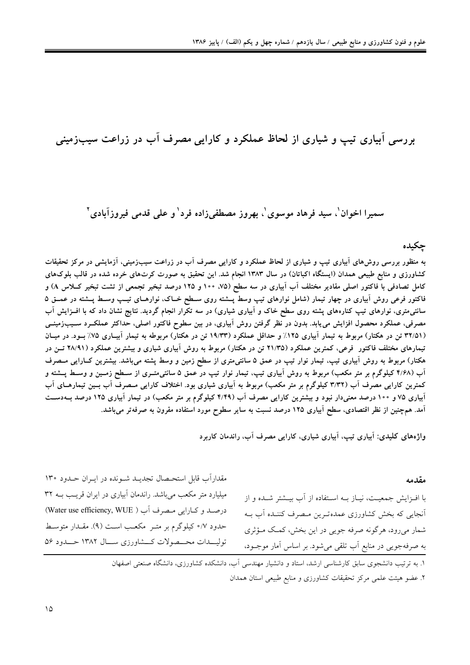بررسی آبیاری تیپ و شیاری از لحاظ عملکرد و کارایی مصرف آب در زراعت سیبزمینی

## سميرا اخوان'، سيد فرهاد موسوى'، بهروز مصطفى;زاده فرد' و على قدمى فيروزآبادى'

حكىدە

به منظور بررسی روش۵ای آبیاری تیپ و شیاری از لحاظ عملکرد و کارایی مصرف آب در زراعت سیبزمینی، آزمایشی در مرکز تحقیقات کشاورزی و منابع طبیعی همدان (ایستگاه اکباتان) در سال ۱۳۸۳ انجام شد. این تحقیق به صورت کرتهای خرده شده در قالب بلوکهای کامل تصادفی با فاکتور اصلی مقادیر مختلف آب آبیاری در سه سطح (۷۵، ۱۰۰ و ۱۲۵ درصد تبخیر تجمعی از تشت تبخیر کــلاس A) و فاکتور فرعی روش آبیاری در چهار تیمار (شامل نوارهای تیپ وسط پــشته روی ســطح خــاک، نوارهــای تیــپ وســط پــشته در عمــق ۵ سانتیمتری، نوارهای تیپ کنارههای پشته روی سطح خاک و آبیاری شیاری) در سه تکرار انجام گردید. نتایج نشان داد که با افــزایش آب مصرفی، عملکرد محصول افزایش می یابد. بدون در نظر گرفتن روش آبیاری، در بین سطوح فاکتور اصلی، حداکثر عملکـرد ســیب(مینــی (۳۲/۵۱ تن در هکتار) مربوط به تیمار آبیاری ۱۲۵٪ و حداقل عملکرد (۱۹/۳۳ تن در هکتار) مربوطه به تیمار آبیـاری ۷۵٪ بـود. در میـان تیمارهای مختلف فاکتور فرعی، کمترین عملکرد (۲۱/۳۵ تن در هکتار) مربوط به روش اَبیاری شیاری و بیشترین عملکرد (۲۸/۹۱ تــن در هکتار) مربوط به روش آبیاری تیپ، تیمار نوار تیپ در عمق ۵ سانتی¤تری از سطح زمین و وسط پشته میباشد. بیشترین کـارایی مــصرف آب (۴/۶۸ کیلوگرم بر متر مکعب) مربوط به روش آبیاری تیپ، تیمار نوار تیپ در عمق ۵ سانتی،متـری از ســطح زمــین و وســط پــشته و کمترین کارایی مصرف آب (۳/۳۲ کیلوگرم بر متر مکعب) مربوط به آبیاری شیاری بود. اختلاف کارایی مـصرف آب بـین تیمارهـای آب آبیاری ۷۵ و ۱۰۰ درصد معنیدار نبود و بیشترین کارایی مصرف آب (۴/۴۹ کیلوگرم بر متر مکعب) در تیمار آبیاری ۱۲۵ درصد بــهدســت آمد. همچنین از نظر اقتصادی، سطح آبیاری ۱۲۵ درصد نسبت به سایر سطوح مورد استفاده مقرون به صرفهتر میباشد.

واژههای کلیدی: آبیاری تیپ، آبیاری شیاری، کارایی مصرف آب، راندمان کاربرد

مقدمه

با افـزايش جمعيـت، نيــاز بــه اســتفاده از آب بيــشتر شــده و از آنجایی که بخش کشاورزی عمدهترین مـصرف کننــده آب بــه شمار میرود، هرگونه صرفه جویی در این بخش، کمک مـؤثری به صرفهجویی در منابع آب تلقی میشود. بر اساس آمار موجــود،

مقداراَب قابل استحـصال تجدیــد شــونده در ایــران حــدود ۱۳۰ میلیارد متر مکعب میباشد. راندمان آبیاری در ایران قریب بــه ۳۲ درصد وكارايي مصرف أب ( Water use efficiency, WUE) حدود ٥/٧ كيلوگرم بر متـر ۖ مكعـب اسـت (٩). مقــدار متوسـط توليـــدات محـــصولات كـــشاورزي ســـال ١٣٨٢ حـــدود ٥۶

١. به ترتیب دانشجوی سابق کارشناسی ارشد، استاد و دانشیار مهندسی آب، دانشکده کشاورزی، دانشگاه صنعتی اصفهان ٢. عضو هيئت علمي مركز تحقيقات كشاورزي و منابع طبيعي استان همدان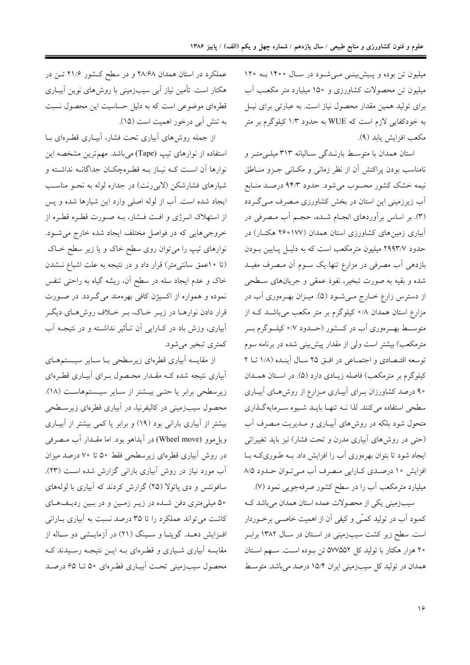میلیون تن بوده و پیش بینـی مـی شـود در سـال ۱۴۰۰ بـه ۱۲۰ میلیون تن محصولات کشاورزی و ۱۵۰ میلیارد متر مکعب آب برای تولید همین مقدار محصول نیاز است. به عبارتی برای نیـل به خودکفایی لازم است که WUE به حدود ۱/۳ کیلوگرم بر متر مكعب افزايش يابد (٩).

استان همدان با متوسط بارنـدگی سـالیانه ۳۱۳ میلـیمتـر و نامناسب بودن پراکنش آن از نظر زمانی و مکـانی جـزو منـاطق نیمه خشک کشور محسوب می شود. حدود ۹۴/۳ درصـد منـابع آب زیرزمینی این استان در بخش کشاورزی مـصرف مـیگـردد (۳). بر اساس برأوردهای انجـام شــده، حجـم أب مـصرفی در آبیاری زمین های کشاورزی استان همدان (۱۷۷°۲۶ هکتــار) در حدود ۲۹۹۳/۷ میلیون مترمکعب است که به دلیـل پـایین بــودن بازدهی أب مصرفی در مزارع تنها یک سـوم أن مـصرف مفیـد شده و بقیه به صورت تبخیر، نفوذ عمقی و جریانهای سـطحی از دسترس زارع خـارج مـیشـود (۵). میـزان بهـرهوری آب در مزارع استان همدان ۸/۰ کیلوگرم بر متر مکعب میباشـد کـه از متوســط بهـــرهوري اّب در كـــشور (حـــدود ٧/٠ كيلـــوگرم بـــر مترمکعب) بیشتر است ولی از مقدار پیشبینی شده در برنامه سوم توسعه اقتـصادي و اجتمـاعي در افـق ٢٥ سـال آينـده (١/٨ تـا ٢ کیلوگرم بر مترمکعب) فاصله زیـادی دارد (۵). در اسـتان همـدان ۹۰ درصد کشاورزان بـرای آبیـاری مـزارع از روشهـای آبیـاری سطحی استفاده میکنند. لذا نــه تنهــا بایــد شــیوه ســرمایهگــذاری متحول شود بلکه در روش های آبیـاری و مـدیریت مـصرف آب (حتی در روشهای آبیاری مدرن و تحت فشار) نیز باید تغییراتی ایجاد شود تا بتوان بهرهوری آب را افزایش داد. بـه طـوریکـه بـا افزایش ۱۰ درصدی کارایی مصرف آب می تـوان حـدود ۸/۵ میلیارد مترمکعب آب را در سطح کشور صرفهجویی نمود (۷).

سیبزمینی یکی از محصولات عمده استان همدان می باشد ک کمبود اَب در تولید کمـّی و کیفی اَن از اهمیت خاصـی برخـوردار است. سطح زیر کشت سیبزمینی در اسـتان در سـال ۱۳۸۲ برابـر ۲۰ هزار هکتار با تولید کل ۵۷۷۵۵۲ تن بوده است. سـهم اسـتان همدان در تولید کل سیبزمینی ایران ۱۵/۴ درصد میباشد. متوسط

عملکرد در استان همدان ۲۸/۶۸ و در سطح کشور ۲۱/۶ تـن در هکتار است. تأمین نیاز آبی سیبزمینی با روش های نوین آبیـاری قطرهای موضوعی است که به دلیل حساسیت این محصول نسبت به تنش آبي درخور اهميت است (١۵).

از جمله روش های ابیاری تحت فشار، ابیـاری قطـرهای بـا استفاده از نوارهای تیپ (Tape) میباشد. مهم ترین مشخصه این نوارها آن اسـت کـه نيـاز بـه قطـرهچکـان جداگانـه نداشـته و شیارهای فشارشکن (لابی رنت) در جداره لوله به نحـو مناسـب ایجاد شده است. آب از لوله اصلی وارد این شیارها شده و پس از استهلاک انـرژی و افـت فـشار، بـه صـورت قطـره قطـره از خروجیهایی که در فواصل مختلف ایجاد شده خارج می شــود. نوارهای تیپ را میٍ توان روی سطح خاک و یا زیر سطح خــاک (تا ١٠عمق سانتيءتر) قرار داد و در نتيجه به علت اشباع نـشدن خاک و عدم ایجاد سله در سطح آن، ریشه گیاه به راحتی تنفس نموده و همواره از اکسیژن کافی بهرهمند میگردد. در صورت قرار دادن نوارهـا در زيـر خـاك، بـر خـلاف روشهـاي ديگـر آبیاری، وزش باد در کـارایی اَن تــأثیر نداشــته و در نتیجــه اَب کمتری تبخیر می شود.

از مقایسه آبیاری قطرهای زیرسطحی بـا سـایر سیـستمهـای آبیاری نتیجه شده کـه مقـدار محـصول بـرای آبیـاری قطـرهای زیرسطحی برابر یا حتـی بیـشتر از سـایر سیـستمهاسـت (١٨). محصول سیبزمینی در کالیفرنیا، در آبیاری قطرهای زیرســطحی بیشتر از آبیاری بارانی بود (١٩) و برابر یا کمی بیشتر از آبیـاری ويل موو (Wheel move) در آيداهو بود. اما مقـدار آب مـصرفي در روش آبیاری قطرهای زیرسطحی فقط ۵۰ تا ۷۰ درصد میزان آب مورد نیاز در روش آبیاری بارانی گزارش شده است (۲۳). سافونتس و دی پائولا (۲۵) گزارش کردند که آبیاری با لولههای ۵۰ میلی متری دفن شـده در زیـر زمـین و در بـین ردیـفهـای کاشت می تواند عملکرد را تا ۳۵ درصد نسبت به آبیاری بـارانی افزایش دهـد. گوپتـا و سـینگ (۲۱) در آزمایـشی دو سـاله از مقایسه آبیاری شـیاری و قطـرهای بــه ایــن نتیجــه رسـیدند کــه محصول سیبزمینی تحت اَبیـاری قطـرهای ۵۰ تـا ۶۵ درصـد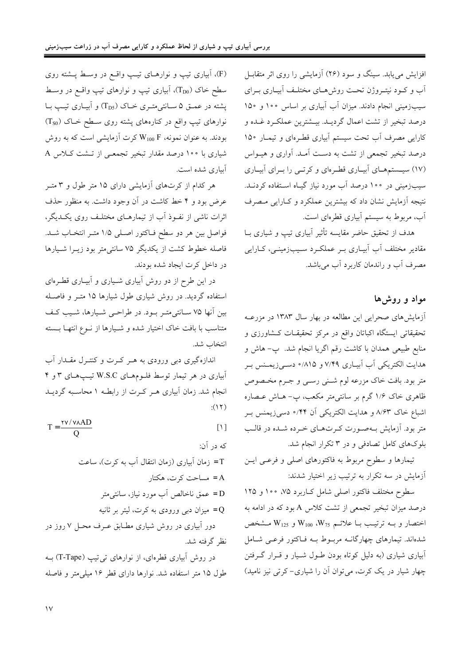افزایش می یابد. سینگ و سود (۲۶) آزمایشی را روی اثر متقابـل آب و کــود نیتــروژن تحــت روش۵حـای مختلــف آبيــاری بــرای سیبزمینی انجام دادند. میزان آب آبیاری بر اساس ۱۰۰ و ۱۵۰ درصد تبخیر از تشت اعمال گردیـد. بیـشترین عملکـرد غـده و کارایی مصرف آب تحت سیستم آبیاری قطرهای و تیمـار ۱۵۰ درصد تبخیر تجمعی از تشت به دست آمـد. آواری و هیـواس (۱۷) سیستمههای آبیاری قطرهای و کرتبی را برای آبیاری سیبزمینی در ۱۰۰ درصد آب مورد نیاز گیـاه اسـتفاده کردنــد. نتیجه آزمایش نشان داد که بیشترین عملکرد و کـارایی مـصرف آب، مربوط به سیستم آبیاری قطرهای است.

هدف از تحقیق حاضر مقایسه تأثیر آبیاری تیپ و شیاری بـا مقادیر مختلف آب آبیـاری بـر عملکـرد سـیبزمینـی، کـارایی مصرف آب و راندمان کاربرد آب می باشد.

## مواد و روش ها

آزمایش های صحرایی این مطالعه در بهار سال ۱۳۸۳ در مزرعـه تحقیقاتی ایستگاه اکباتان واقع در مرکز تحقیقـات کـشاورزی و منابع طبیعی همدان با کاشت رقم اگریا انجام شد. پ– هاش و هدایت الکتریکی آب آبیاری ۷/۴۹ و ۸۱۵/۰ دسمیزیمنس بر متر بود. بافت خاک مزرعه لوم شــني رســي و جــرم مخـصوص .<br>ظاهری خاک ۱/۶ گرم بر سانتی¤تر مکعب، پ− هــاش عــصاره اشباع خاک ۸/۶۳ و هدایت الکتریکی اَن ۴۴/۰ دسمیزیمنس بـر متر بود. آزمایش بهصورت کرتهای خرده شده در قالب بلوکهای کامل تصادفی و در ۳ تکرار انجام شد.

تیمارها و سطوح مربوط به فاکتورهای اصل<sub>ی</sub> و فر*عـی* ایــن آزمایش در سه تکرار به ترتیب زیر اختیار شدند:

سطوح مختلف فاکتور اصلی شامل کـاربرد ۷۵، ۱۰۰ و ۱۲۵ درصد میزان تبخیر تجمعی از تشت کلاس A بود که در ادامه به اختصار و بـه ترتيب بـا علائـم W100 ،W75 و W125 مـشخص شدهاند. تیمارهای چهارگانــه مربــوط بــه فــاکتور فرعــی شــامل ابیاری شیاری (به دلیل کوتاه بودن طـول شـیار و قـرار گـرفتن چهار شیار در یک کرت، میتوان آن را شیاری- کرتی نیز نامید)

(F)، آبیاری تیپ و نوارهـای تیـپ واقــع در وسـط پــشته روی سطح خاک (T<sub>D0</sub>)، آبیاری تیپ و نوارهای تیپ واقع در وسط پشته در عمــق ۵ ســانتی متــری خــاک (T<sub>D5</sub>) و آبيــاری تيــب بــا نوارهای تیپ واقع در کنارههای پشته روی سـطح خـاک (Tso) بودند. به عنوان نمونه، W<sub>100</sub> F کرت آزمایشی است که به روش شیاری با ۱۰۰ درصد مقدار تبخیر تجمعـی از تـشت کـلاس A آبیاری شده است.

هر کدام از کرتهای آزمایشی دارای ۱۵ متر طول و ۳ متـر عرض بود و ۴ خط کاشت در آن وجود داشت. به منظور حذف اثرات ناشی از نفـوذ آب از تیمارهـای مختلـف روی یکـدیگر، فواصل بين هر دو سطح فـاكتور اصـلي ۱/۵ متـر انتخـاب شــد. فاصله خطوط کشت از یکدیگر ۷۵ سانتی متر بود زیــرا شـیارها در داخل كرت ايجاد شده بودند.

در این طرح از دو روش آبیاری شـیاری و آبیـاری قطـرهای استفاده گردید. در روش شیاری طول شیارها ۱۵ متـر و فاصـله بین آنها ۷۵ ســانتی¤تـر بــود. در طراحــی شــیارها، شــیب کـف متناسب با بافت خاک اختیار شده و شـیارها از نـوع انتهـا بــسته انتخاب شد.

اندازهگیری دبی ورودی به هـر کـرت و کنتـرل مقـدار آب آبیاری در هر تیمار توسط فلـومهـای W.S.C تیـپهـای ۳ و ۴ انجام شد. زمان آبیاری هـر کـرت از رابطـه ۱ محاسـبه گردیـد  $:(15)$ 

 $T = \frac{TV / V \wedge AD}{O}$  $[1]$ 

که در آن: T = زمان آبیاری (زمان انتقال آب به کرت)، ساعت A = مساحت کرت، هکتار عمق ناخالص أب مورد نياز، سانتيءتر = 0 میزان دبی ورودی به کرت، لیتر بر ثانیه = دور آبیاری در روش شیاری مطـابق عــرف محــل ۷ روز در نظ گرفته شد. در روش اَبیاری قطرهای، از نوارهای تی تیب (T-Tape) بـه طول ۱۵ متر استفاده شد. نوارها دارای قطر ۱۶ میلی متر و فاصله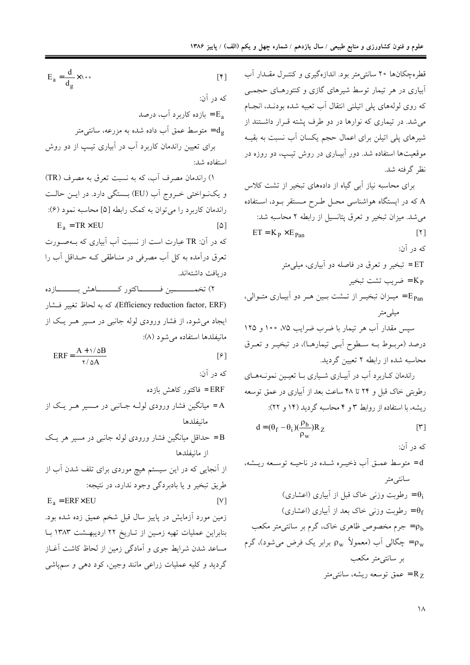قطرهچکانها ۲۰ سانتی متر بود. اندازهگیری و کنتـرل مقـدار آب آبیاری در هر تیمار توسط شیرهای گازی و کنتورهـای حجمـی که روی لولههای پلی اتیلنی انتقال آب تعبیه شده بودنـد، انجـام می شد. در تیماری که نوارها در دو طرف پشته قـرار داشـتند از شیرهای پلی اتیلن برای اعمال حجم یکسان آب نسبت به بقیـه موقعیتها استفاده شد. دور آبیـاری در روش تیـپ، دو روزه در نظ گرفته شد.

برای محاسبه نیاز آبی گیاه از دادههای تبخیر از تشت کلاس A که در ایستگاه هواشناسی محـل طـرح مـستقر بــود، اســتفاده می شد. میزان تبخیر و تعرق پتانسیل از رابطه ۲ محاسبه شد:  $ET = K_P \times E_{Pan}$  $\lceil \mathbf{Y} \rceil$ که در آن: ET = تبخير و تعرق در فاصله دو آبياري، ميلي متر خىريب تشت تبخير = Kp میزان تبخیـر از تـشت بـین هـر دو آبیـاری متـوالی، = میلے متر سپس مقدار آب هر تیمار با ضرب ضرایب ۷۵، ۱۰۰ و ۱۲۵ درصد (مربوط بـه سـطوح اَبـی تیمارهـا)، در تبخیـر و تعـرق محاسبه شده از رابطه ۲ تعیین گردید.

راندمان کـاربرد آب در آبيـاري شـياري بــا تعيـين نمونــههــاي رطوبتی خاک قبل و ۲۴ تا ۴۸ ساعت بعد از آبیاری در عمق توسعه ریشه، با استفاده از روابط ۳ و ۴ محاسبه گردید (۱۴ و ۲۲):

$$
d = (\theta_f - \theta_i)(\frac{\rho_b}{\rho_w})R_Z
$$
 [Y]

که در آن: d = متوسط عمــق أب ذخيــره شــده در ناحيــه توســعه ريــشه، سانتيءمتر رطوبت وزنی خاک قبل از آبیاری (اعشاری)  $\theta_i$ وطوبت وزنی خاک بعد از آبیاری (اعشاری) =  $\theta_{\rm f}$ جرم مخصوص ظاهری خاک، گرم بر سانتی متر مکعب $\rho_{\rm b}$ 

بر سانتے متر مکعب عمق توسعه ريشه، سانتې متر $\rm R_Z$ 

 $E_a = \frac{d}{d_a} \times \cdots$  $\lceil \mathfrak{f} \rceil$ که در آن: ازده کاربرد آب، درصد = E<sub>a</sub> متوسط عمق آب داده شده به مزرعه، سانتی متر  $\rm d_{\scriptsize g}$ برای تعیین راندمان کاربرد آب در آبیاری تیپ از دو روش استفاده شد:

۱) راندمان مصرف آب، که به نسبت تعرق به مصرف (TR) و یک نواختی خروج آب (EU) بـستگی دارد. در ایـن حالـت راندمان كاربرد را مى توان به كمك رابطه [۵] محاسبه نمود (۶):  $E_a = TR \times EU$  $\lceil \Delta \rceil$ که در آن: TR عبارت است از نسبت آب آبیاری که بـهصـورت تعرق درآمده به کل آب مصرفی در منـاطقی کـه حـداقل آب را دريافت داشتهاند. 

(Efficiency reduction factor, ERF) كه به لحاظ تغيير فسشار ایجاد میشود، از فشار ورودی لوله جانبی در مسیر هـر یـک از مانيفلدها استفاده مي شود (٨):

$$
ERF = \frac{A + \sqrt{\Delta B}}{\gamma / \Delta A}
$$
 [5]

که در آن:

 $[V]$ 

- ERF = فاکتور کاهش بازده A= میانگین فشار ورودی لولـه جـانبی در مـسیر هـر یـک از مانىفلدها
- B = حداقل میانگین فشار ورودی لوله جانبی در مسیر هر یک از مانيفلدها

از آنجایی که در این سیستم هیچ موردی برای تلف شدن آب از طريق تبخير و يا بادبردگي وجود ندارد، در نتيجه:

 $E_a = ERF \times EU$ 

زمین مورد اَزمایش در پاییز سال قبل شخم عمیق زده شده بود. بنابراین عملیات تهیه زمین از تاریخ ٢٢ اردیبهشت ١٣٨٣ با مساعد شدن شرايط جوى و آمادگي زمين از لحاظ كاشت آغــاز گرديد و كليه عمليات زراعي مانند وجين، كود دهي و سمپاشي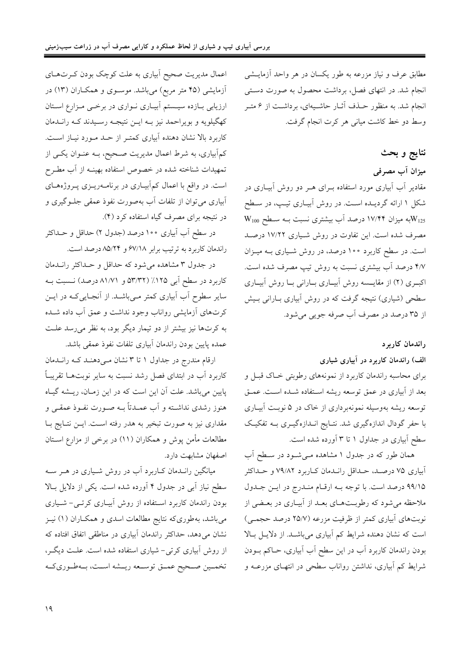مطابق عرف و نیاز مزرعه به طور یکسان در هر واحد آزمایــشی انجام شد. در انتهای فصل، برداشت محصول به صورت دستی انجام شد. به منظور حــذف آثــار حاشــيهاي، برداشــت از ۶ متــر وسط دو خط كاشت مياني هر كرت انجام گرفت.

# نتايج و بحث

میزان آب مصرفی

مقادیر آب آبیاری مورد استفاده بــرای هــر دو روش آبیــاری در شکل ۱ ارائه گردیـده اسـت. در روش آبیـاری تیـپ، در سـطح  $\rm W_{100}$  به میزان ۱۷/۴۴ درصد آب بیشتری نسبت بـه سـطح  $\rm W_{125}$ مصرف شده است. این تفاوت در روش شیاری ۱۷/۲۲ درصد است. در سطح کاربرد ۱۰۰ درصد، در روش شیاری بـه میـزان ۴/۷ درصد آب بیشتری نسبت به روش تیپ مصرف شده است. اکبوی (۲) از مقایسه روش آبیباری بنارانی بنا روش آبیباری سطحی (شیاری) نتیجه گرفت که در روش ابیاری بـارانی بـیش از ۳۵ درصد در مصرف آب صرفه جويي مي شود.

#### راندمان كاربرد

### الف) راندمان کاربرد در آبیاری شیاری

برای محاسبه راندمان کاربرد از نمونههای رطوبتی خـاک قبـل و بعد از آبیاری در عمق توسعه ریشه استفاده شـده اسـت. عمـق توسعه ریشه بهوسیله نمونهبرداری از خاک در ۵ نوبـت آبیـاری با حفر گودال اندازهگیری شد. نتـایج انـدازهگیـری بــه تفکیـک سطح آبیاری در جداول ۱ تا ۳ آورده شده است.

همان طور که در جدول ۱ مشاهده مـیشـود در سـطح آب آبیاری ۷۵ درصـد، حـداقل رانـدمان کـاربرد ۷۹/۸۲ و حـداکثر ۹۹/۱۵ درصد است. با توجه بـه ارقـام منـدرج در ايـن جـدول ملاحظه می شود که رطوبـتهـای بعـد از آبیـاری در بعـضی از نوبتهای آبیاری کمتر از ظرفیت مزرعه (۲۵/۷ درصد حجمـی) است که نشان دهنده شرایط کم آبیاری میباشـد. از دلایـل بـالا بودن راندمان کاربرد آب در این سطح آب آبیاری، حــاکم بــودن شرایط کم آبیاری، نداشتن رواناب سطحی در انتهـای مزرعــه و

اعمال مدیریت صحیح اَبیاری به علت کوچک بودن کـرتهـای آزمایشی (۴۵ متر مربع) میباشد. موسـوی و همکـاران (۱۳) در ارزیابی بازده سیستم آبیاری نواری در برخمی مزارع استان کهگیلویه و بویراحمد نیز بـه ایــن نتیجــه رســیدند کــه رانــدمان کاربرد بالا نشان دهنده آبیاری کمتـر از حـد مـورد نیـاز اسـت. کمآبیاری، به شرط اعمال مدیریت صـحیح، بـه عنـوان یکـی از تمهیدات شناخته شده در خصوص استفاده بهینــه از آب مطــرح است. در واقع با اعمال کمآبیـاری در برنامـهریــزی پــروژههــای أبياري مي توان از تلفات أب بهصورت نفوذ عمقي جلـوگيري و در نتیجه برای مصرف گیاه استفاده کرد (۴).

در سطح اَب اَبیاری ۱۰۰درصد (جدول ۲) حداقل و حــداکثر راندمان كاربرد به ترتيب برابر ۶۷/۱۸ و ۸۵/۲۴ درصد است.

در جدول ۳ مشاهده میشود که حداقل و حـداکثر رانــدمان کاربرد در سطح آبی ۱۲۵٪ (۵۳/۳۲ و ۸۱/۷۱ درصد) نسبت به سایر سطوح آب آبیاری کمتر مـیباشــد. از آنجـاییکـه در ایــن کرتهای آزمایشی رواناب وجود نداشت و عمق آب داده شــده به کرتها نیز بیشتر از دو تیمار دیگر بود، به نظر میرسد علت عمده پایین بودن راندمان آبیاری تلفات نفوذ عمقی باشد.

ارقام مندرج در جداول ١ تا ٣ نشان مـي دهنـد كـه رانـدمان کاربرد آب در ابتدای فصل رشد نسبت به سایر نوبتها تقریباً پایین میباشد. علت آن این است که در این زمـان، ریـشه گیـاه هنوز رشدي نداشــته و اّب عمــدتاً بــه صــورت نفــوذ عمقــي و مقداری نیز به صورت تبخیر به هدر رفته اسـت. ایــن نتـایج بــا مطالعات مأمن پوش و همکاران (۱۱) در برخی از مزارع اســتان اصفهان مشابهت دارد.

میانگین رانـدمان کــاربرد آب در روش شــیاری در هــر ســه سطح نیاز آبی در جدول ۴ آورده شده است. یکی از دلایل بـالا بودن راندمان کاربرد استفاده از روش آبیـاری کرتـی- شـیاری میباشد، بهطوریکه نتایج مطالعات اسدی و همکـاران (۱) نیـز نشان می دهد، حداکثر راندمان آبیاری در مناطقی اتفاق افتاده که از روش آبیاری کرتی- شیاری استفاده شده است. علـت دیگـر، تخمـين صـحيح عمــق توســعه ريــشه اســت، بــهطـوريكــه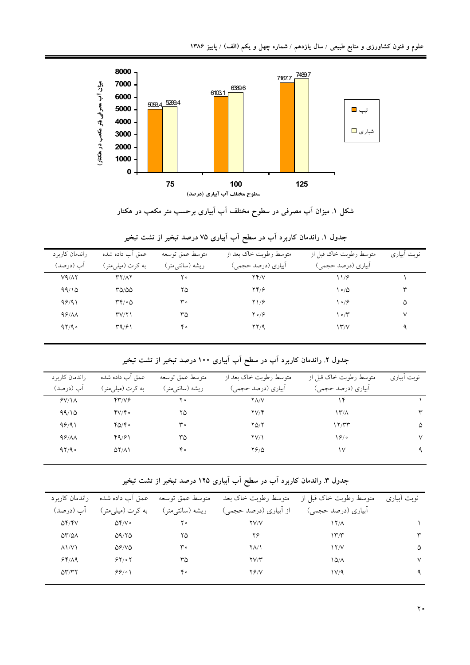

شکل ۱. میزان آب مصرفی در سطوح مختلف آب آبیاری برحسب متر مکعب در هکتار

| راندمان کاربر د<br>آب (درصد) | عمق أب داده شده<br>به کرت (میلم متر)        | متوسط عمق توسعه<br>ريشه (سانتي متر) | متوسط رطوبت خاک بعد از<br>آبیاري (درصد حجمي) | متوسط رطوبت خاک قبل از<br>أبياري (درصد حجمي) | نوبت ابیاری |
|------------------------------|---------------------------------------------|-------------------------------------|----------------------------------------------|----------------------------------------------|-------------|
| V9/AY                        | YY/AY                                       | ه ۲                                 | YY/V                                         | ۱۱۶                                          |             |
| 99/10                        | ۳۵/۵۵                                       | ۲۵                                  | $YY/\gamma$                                  | $\circ$ / $\circ$                            | ٣           |
| 99/91                        | $\mathsf{r}\mathsf{r}/\mathsf{o}\mathsf{r}$ | ۳۰                                  | Y1/9                                         | ۱۰/۶                                         | ۵           |
| 99/AA                        | TV/Y                                        | ٣۵                                  | $Y \circ 79$                                 | ۱۰/۳                                         | ٧           |
| 97/9                         | ۳۹/۶۱                                       | ۴۰                                  | YY/9                                         | $\Upsilon$                                   | ٩           |

جدول ۱. راندمان کاربرد آب در سطح آب آبیاری ۷۵ درصد تبخیر از تشت تبخیر

جدول ۲. راندمان کاربرد آب در سطح آب آبیاری ۱۰۰ درصد تبخیر از تشت تبخیر

| راندمان کاربر د | عمق أب داده شده         | متوسط عمق توسعه | متوسط رطوبت خاک بعد از | متوسط رطوبت خاک قبل از | نوبت أبياري |
|-----------------|-------------------------|-----------------|------------------------|------------------------|-------------|
| آب (درصد)       | به کرت (میلی متر)       | ريشه (سانتىمتر) | أبياري (درصد حجمي)     | آبیاری (درصد حجمی)     |             |
| $Y/\lambda$     | 47/76                   | ه ۲             | $Y\Lambda/V$           | ۱۴                     |             |
| 99/10           | $\mathbf{y}/\mathbf{y}$ | ۲۵              | $\Upsilon V/\Upsilon$  | $\frac{1}{\gamma}$     | ٣           |
| 99/91           | $Y_0/Y_0$               | ۳۰              | $Y\Delta/Y$            | ۱۲/۳۳                  | ۵           |
| 99/AA           | 49/61                   | ٣۵              | $\Upsilon V/\Upsilon$  | 19/0                   | ٧           |
| 97/9            | $\Delta Y/\Delta Y$     | ۴۰              | 7910                   | ۱۷                     |             |
|                 |                         |                 |                        |                        |             |

جدول ۳. راندمان کاربرد آب در سطح آب آبیاری ۱۲۵ درصد تبخیر از تشت تبخیر

| راندمان کاربر د                     | عمق أب داده شده       | متوسط عمق توسعه  | متوسط رطوبت خاک بعد                | متوسط رطوبت خاک قبل از | نوبت أبياري |
|-------------------------------------|-----------------------|------------------|------------------------------------|------------------------|-------------|
| آب (درصد)                           | به کرت (میلم متر)     | ريشه (سانتي متر) | از أبياري (درصد حجمي)              | اّبیاری (درصد حجمی)    |             |
| $\Delta Y/Y$                        | $\Delta f/V \circ$    | ه ۲              | <b>YV/V</b>                        | $\frac{17}{\Lambda}$   |             |
| $\Delta \mathcal{N}/\Delta \Lambda$ | 09/70                 | ۲۵               | ۲۶                                 | ۱۳/۳                   | ٣           |
| $\Lambda$ $\mathcal{N}$             | $\Delta$ ۶/V $\Delta$ | ۳۰               | ۲۸/۱                               | $\frac{17}{V}$         | ۵           |
| 94/19                               | 84/07                 | ٣۵               | $\mathsf{Y} \mathsf{Y} \mathsf{Y}$ | ۱۵٬۸                   | ٧           |
| $\Delta \mathbf{r}/\mathbf{r}$      | 99/01                 | ۴۰               | 76/V                               | ۱۷٬۹                   | ٩           |
|                                     |                       |                  |                                    |                        |             |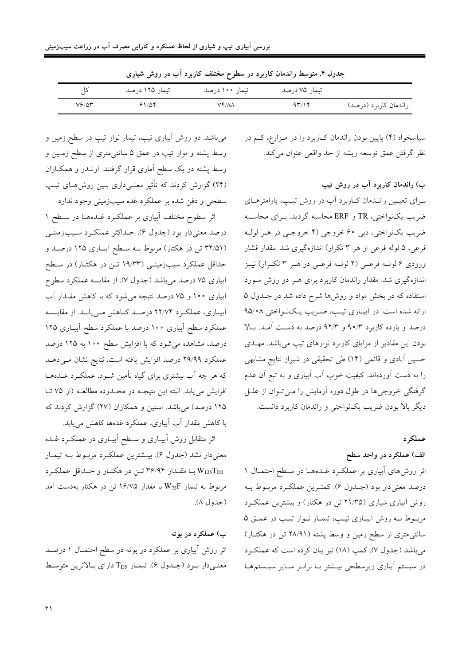| جدون ۱. سوشط زاندهان تاربرد در سطوح محتلف تاربرد آب در روس سیاری |                  |                |                  |                       |  |  |
|------------------------------------------------------------------|------------------|----------------|------------------|-----------------------|--|--|
|                                                                  | - تىمار ۱۲۵ درصد | تىمار ۱۰۰ درصد | تیمار ۷۵ درصد    |                       |  |  |
| $V^{\varphi}/\Delta r$                                           | ۶۱/۵۴            | VY/AA          | $4\tilde{r}$ /14 | راندمان کاربرد (درصد) |  |  |

بط راندمان کاربرد در سطوح مختلف کاربرد آب در روش شبار<sup>ی</sup>

میباشد. دو روش آبیاری تیپ، تیمار نوار تیپ در سطح زمین و وسط پشته و نوار تیپ در عمق ۵ سانتیءمتری از سطح زمـین و وسط پشته در یک سطح آماری قرار گرفتند. اونــدر و همکــاران (۲۴) گزارش کردند که تأثیر معنی داری بیبن روش های تیپ سطحی و دفن شده بر عملکرد غده سیبزمینی وجود ندارد.

اثر سطوح مختلف آبیاری بر عملکرد غـدههـا در سـطح ۱ درصد معنیدار بود (جدول ۶). حـداکثر عملکـرد سـیبزمینـی (۳۲/۵۱ تن در هکتار) مربوط بـه سـطح آبيــاري ۱۲۵ درصــد و حداقل عملکرد سیبزمینی (۱۹/۳۳ تـن در هکتـار) در سـطح ابیاری ۷۵ درصد میباشد (جدول ۷). از مقایسه عملکرد سطوح آبیاری ۱۰۰ و ۷۵ درصد نتیجه می شود که با کاهش مقـدار آب ابیاری، عملکرد ۲۲/۷۴ درصد کاهش می یابـد. از مقایـسه عملکرد سطح اَبیاری ۱۰۰ درصد با عملکرد سطح اَبیـاری ۱۲۵ درصد، مشاهده می شود که با افزایش سطح ۱۰۰ به ۱۲۵ درصد عملکرد ۲۹/۹۹ درصد افزایش یافته است. نتایج نشان مـی دهـد که هر چه اَب بیشتری برای گیاه تأمین شـود. عملکـرد غـدههـا افزایش می یابد. البته این نتیجـه در محـدوده مطالعـه (از ۷۵ تـا ۱۲۵ درصد) میباشد. استین و همکاران (۲۷) گزارش کردند که با کاهش مقدار آب ابیاری، عملکرد غدهها کاهش می یابد.

اثر متقابل روش آبیـاری و سـطح آبیـاری در عملکــرد غــده معنیدار نشد (جدول ۶). بیــشترین عملکــرد مربــوط بــه تیمــار با مقـدار ۳۶/۹۴ تـن در هكتـار و حـداقل عملكـرد V125 $\Gamma_{\rm D0}$ مربوط به تیمار W75F با مقدار ۱۶/۷۵ تن در هکتار بهدست آمد (جدول ۸).

#### ب) عملکرد در بوته

اثر روش آبیاری بر عملکرد در بوته در سطح احتمـال ۱ درصـد معنــم دار بــود (جــدول ۶). تیمــار  $\Gamma_{\rm D5}$  دارای بــالاترین متوسـط سپاسخواه (۴) پایین بودن راندمان کاربرد را در مـزارع، کـم در نظر گرفتن عمق توسعه ريشه از حد واقعي عنوان ميكند.

ب) راندمان کاربرد آب در روش تیپ بـرای تعیـین رانـدمان کـاربرد آب در روش تیـپ، پارامترهـای ضریب یکنواختی، TR و ERF محاسبه گردید. بـرای محاسـبه ضریب یکنواختی، دبی ۶۰ خروجی (۴ خروجبی در هـر لولـه فرعی، ۵ لوله فرعی از هر ۳ تکرار) اندازهگیری شد. مقدار فشار ورودي ۶ لولـه فرعـي (۲ لولـه فرعـي در هـر ۳ تكـرار) نيـز اندازهگیری شد. مقدار راندمان کاربرد برای هـر دو روش مـورد استفاده که در بخش مواد و روشها شرح داده شد در جـدول ۵ ارائه شده است. در آبیـاری تیـپ، ضـریب یـکنـواختی ۹۵/۰۸ درصد و بازده کاربرد ۹۰/۳ و ۹۲/۳ درصد به دست آمـد. بـالا بودن این مقادیر از مزایای کاربرد نوارهای تیپ میباشد. مهـدی حسین آبادی و قائمی (۱۴) طی تحقیقی در شیراز نتایج مشابهی را به دست آوردهاند. کیفیت خوب آب آبیاری و به تبع آن عدم گرفتگی خروجیها در طول دوره آزمایش را مـیتوان از علـل دیگر بالا بودن ضریب یکنواختی و راندمان کاربرد دانست.

## عملکر د

الف) عملکرد در واحد سطح

اثر روش های آبیاری بر عملک رد غـدههــا در سـطح احتمــال ۱ درصد معنىدار بود (جـدول ۶). كمتـرين عملكـرد مربـوط بـه روش آبیاری شیاری (۲۱/۳۵ تن در هکتار) و بیشترین عملکرد مربوط به روش ابياري تيپ، تيمـار نـوار تيـپ در عمـق ۵ سانتی متری از سطح زمین و وسط پشته (۲۸/۹۱ تن در هکتــار) مي باشد (جدول ۷). كمب (۱۸) نيز بيان كرده است كه عملكرد در سیستم آبیاری زیرسطحی بیـشتر یـا برابـر سـایر سیـستمهـا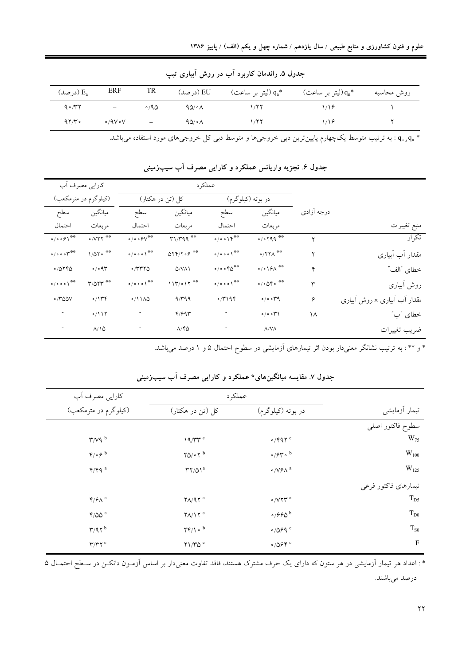| (درصد) $\rm E_a$ | ERF                    | TR                       | EU (درصد) | 4°, (ليتر بر ساعت) q. | (ليتر بر ساعت) $\mathfrak{q_n}^*$ | روش محاسبه |
|------------------|------------------------|--------------------------|-----------|-----------------------|-----------------------------------|------------|
| $9 \circ \pi$    | -                      | $\circ$ /90              | 90/07     |                       |                                   |            |
| 97/r             | $\circ$ /9 $V \circ V$ | $\overline{\phantom{m}}$ | 90/08     | ۱/۲۲                  | ۱۱۶                               |            |

جدول ۵ـ راندمان کاربرد آب در روش آبیاری تیپ

.<br>\* .q<sub>a و qa</sub> : به ترتیب متوسط یکچهارم پایینترین دبی خروجی۵ا و متوسط دبی کل خروجی۵ای مورد استفاده میباشد.

|                                            | كارايي مصرف آب                             |                                                       | عملکر د                                |                                                  |                                                                                                             |            |                              |
|--------------------------------------------|--------------------------------------------|-------------------------------------------------------|----------------------------------------|--------------------------------------------------|-------------------------------------------------------------------------------------------------------------|------------|------------------------------|
|                                            | (کیلوگرم در مترمکعب)                       |                                                       | کل (تن در هکتار)                       |                                                  | در بوته (كيلوگرم)                                                                                           |            |                              |
| سطح                                        | ميانگين                                    | سطح                                                   | ميانگين                                | سطح                                              | ميانگين                                                                                                     | درجه آزادی |                              |
| احتمال                                     | مربعات                                     | احتمال                                                | مربعات                                 | احتمال                                           | مربعات                                                                                                      |            | منبع تغييرات                 |
| $\circ / \circ \circ \circ '$              | $\circ$ / $V$ ۲۲ <sup><math>*</math></sup> | $\circ / \circ \circ \mathcal{S} V^{\otimes \otimes}$ | r1/rqq                                 | $\circ / \circ \circ / \check{Y}^{\# \#}$        | 0/0799                                                                                                      | ۲          | تكرار                        |
| $\circ / \circ \circ \circ \gamma^{\# \#}$ | $1/\Delta Y \circ \theta$                  | $\circ / \circ \circ \wedge^{\circ\circ}$             | $\Delta Y Y/Y \circ \xi$ <sup>**</sup> | $\circ / \circ \circ \circ '$ <sup>**</sup>      | $\circ$ /۲۲ $\Lambda$ <sup>**</sup>                                                                         | ۲          | مقدار أب أبياري              |
| 0/0770                                     | 0/09                                       | 0/TTT0                                                | $Q/Y\Lambda$                           | $\circ / \circ \circ \mathcal{F} \Delta^{\# \#}$ | $\circ / \circ \mathcal{H}^{\ast\ast}$                                                                      | ۴          | خطاي "الف"                   |
| 0/000                                      | $Y/\Delta YY^*$                            | 0/000                                                 | $111^{\circ}$ o $17^{*}$               | 0/0001                                           | $\circ / \circ \mathsf{Q} \mathsf{Y} \circ \overset{\text{\tiny\textsf{\tiny @}}\# \mathsf{\tiny @}}{\sim}$ | ٣          | روش أبياري                   |
| $\circ$ /۳۵۵۷                              | $\circ/144$                                | $0/11\Delta$                                          | 9/499                                  | $\circ$ /۳۱۹۴                                    | $\circ$ / $\circ$ org                                                                                       | ۶          | مقدار آب آبیاری × روش آبیاری |
|                                            | 0/117                                      |                                                       | 4/997                                  |                                                  | 0/0.04                                                                                                      | ۱۸         | خطاي "ب"                     |
|                                            | $\lambda/\lambda$                          |                                                       | $\Lambda$ /۴۵                          |                                                  | $\Lambda/\mathrm{V}\Lambda$                                                                                 |            | ضريب تغييرات                 |

جدول ۶. تجزیه واریانس عملکرد و کارایی مصرف آب سیبزمینی

\* و \*\* : به ترتیب نشانگر معنیدار بودن اثر تیمارهای آزمایشی در سطوح احتمال ۵ و ۱ درصد میباشد.

|                      |                                      | كارايي مصرف آب<br>عملكرد                 |                                                    |
|----------------------|--------------------------------------|------------------------------------------|----------------------------------------------------|
| تیمار آزمایشی        | در بوته (کیلوگرم)                    | کل (تن در هکتار)                         | (کیلوگرم در مترمکعب)                               |
| سطوح فاكتور اصلى     |                                      |                                          |                                                    |
| $W_{75}$             | $\circ$ /۴۹۲ $c$                     | $19/TT^c$                                | $\mathbf{r}/v\mathbf{q}$ <sup>b</sup>              |
| $W_{100}$            | $\circ$ / $5$ r $\circ$ <sup>b</sup> | $\gamma_0/\circ \gamma^b$                | $\mathfrak{r}_{/\mathfrak{o}}\varphi$ <sup>b</sup> |
| $W_{125}$            | $\circ$ /V $\circ$ $\wedge$ $\circ$  | $\Upsilon\Upsilon/\Delta\Upsilon^a$      | $Y/Y$ q <sup>a</sup>                               |
| تيمارهاي فاكتور فرعى |                                      |                                          |                                                    |
| $T_{D5}$             | $\circ$ / $\vee$ ۲۳ <sup>a</sup>     | $\gamma \Lambda / 9 \gamma$ <sup>a</sup> | $Y/\mathcal{F}\wedge$ <sup>a</sup>                 |
| $T_{D0}$             | $\circ$ / $990$                      | $\gamma \Lambda / \gamma^a$              | $Y/\Delta\Delta$ <sup>a</sup>                      |
| $T_{S0}$             | $\circ$ /089 $\degree$               | $\Upsilon \Upsilon / \Lambda$ o b        | $\mathbf{r}/\mathbf{q}\mathbf{r}^{\mathrm{b}}$     |
| F                    | $\circ$ /0.64 $\circ$                | Y1/TQ                                    | $\Upsilon/\Upsilon\Upsilon$ c                      |

جدول ۷. مقایسه میانگینهای\* عملکرد و کارایی مصرف آب سیبزمینی

\* : اعداد هر تیمار آزمایشی در هر ستون که دارای یک حرف مشترک هستند، فاقد تفاوت معنیدار بر اساس آزمـون دانکــن در سـطح احتمــال ۵ درصد مىباشند.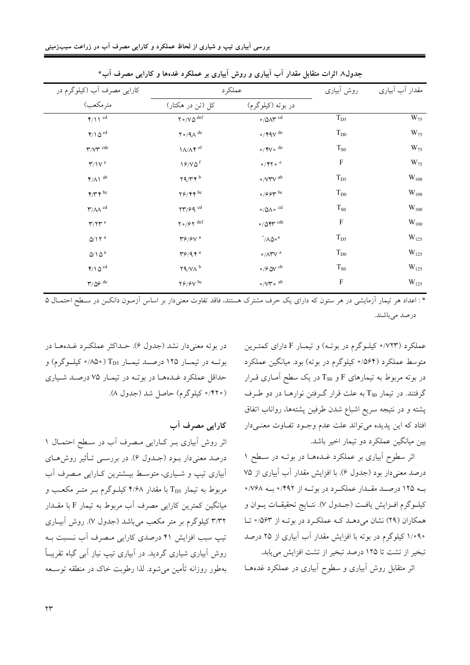| کارایی مصرف آب (کیلوگرم در                     | عملكرد                                                                                                                    |                                                                                                |                            |               | روش آبیاری | مقدار أب أبياري |
|------------------------------------------------|---------------------------------------------------------------------------------------------------------------------------|------------------------------------------------------------------------------------------------|----------------------------|---------------|------------|-----------------|
| مترمكعب)                                       | کل (تن در هکتار)                                                                                                          | در بوته (کیلوگرم)                                                                              |                            |               |            |                 |
| $Y/\$ \ $^{cd}$                                | $Y \circ /V \Delta$ def                                                                                                   | $\circ$ /0<br>A $\hspace{-1.5pt}\raisebox{0.3pt}{\text{\circle*{1.5}}}\hspace{0.2pt}^{\rm cd}$ | $T_{D5}$                   | $W_{75}$      |            |                 |
| $\mathfrak{k}/\Lambda\,\Delta^{\,\mathrm{cd}}$ | $\upgamma\circ/\uparrow\!\!\!\!\backslash\, \mathrm{d}\mathrm{e}$                                                         | $\circ$ / $\mathfrak{r}$ q $\vee$ de                                                           | $\rm T_{D0}$               | $W_{75}$      |            |                 |
| $\Upsilon/\Upsilon^{\rm cde}$                  | $\ensuremath{\mathsf{1}\mathsf{A}}\xspace/\ensuremath{\mathsf{A}\xspace}\xspace \ensuremath{\mathsf{f}\xspace}\xspace$ ef | $\circ$ / $\mathsf{fV} \circ \,^\mathrm{de}$                                                   | $\mathrm{T}_{\mathrm{S0}}$ | $W_{75}$      |            |                 |
| $\Upsilon/\Upsilon^e$                          | $19/10^{f}$                                                                                                               | $\circ$ / $\mathbf{y}$ / $\circ$ $\,$ $^{\circ}$                                               | $\mathbf F$                | $W_{75}$      |            |                 |
| $\mathfrak{r}/\Lambda\operatorname{1}$ ab      | $\mathbf{Y}^{\mathbf{q}}/\mathbf{Y}^{\mathbf{p}}$                                                                         | $\circ$ /VYV $^{\rm ab}$                                                                       | $\rm T_{D5}$               | $\rm W_{100}$ |            |                 |
| $\mathbf{Y}/\mathbf{Y}$ bc                     | $\mathbf{Y} \mathcal{S} / \mathbf{Y} \mathbf{Y}$ be                                                                       | $\circ$ /9.9 $\uparrow$ bc                                                                     | $T_{D0}$                   | $\rm W_{100}$ |            |                 |
| $\Upsilon/\Lambda\Lambda$ $^{\text{cd}}$       | $\upgamma\upgamma/\varphi\uparrow\text{ }^{\text{cd}}$                                                                    | $\circ/\Delta\Lambda\circ\ ^{\rm cd}$                                                          | $\mathrm{T}_{\mathrm{S0}}$ | $\rm W_{100}$ |            |                 |
| $\mathbf{r}/\mathbf{r}$ e                      | $\gamma\circ/\beta\gamma$ def                                                                                             | $\circ$ / $\circ$ expressed by $\circ$ de                                                      | $\mathbf F$                | $\rm W_{100}$ |            |                 |
| $\Delta/\Upsilon$ $^{\rm a}$                   | $\mathbf{Y} \mathbf{\mathcal{S}}/\mathbf{\mathcal{S}} \mathbf{V}$ a                                                       | $\sqrt[\circ]{\Lambda\hat{\omega}^a}$                                                          | $T_{D5}$                   | $W_{125}$     |            |                 |
| $\Delta/\Lambda$ $\Delta$ $^{\rm a}$           | $\mathbf{Y} \mathcal{S} / \mathbf{Q} \mathbf{Y}^{\mathrm{a}}$                                                             | $\circ$ /<br>ATV $^{\rm a}$                                                                    | $\rm T_{D0}$               | $W_{125}$     |            |                 |
| $\mathfrak{k}/\Lambda\,\Delta^{\,\mathrm{cd}}$ | $\uparrow$ 9/VA $^{\rm b}$                                                                                                | $\circ$ /<br>& $\hbox{O\hspace{-.07cm}V}$ $\hbox{^{cb}}$                                       | $T_{S0}$                   | $W_{125}$     |            |                 |
| $\Upsilon/\Delta\mathcal{S}$ de                | $\upgamma \varphi/\varphi \upgamma$ bc                                                                                    | $\circ/\mathsf{V}\mathsf{Y}\circ\ ^{ab}$                                                       | F                          | $\rm W_{125}$ |            |                 |
|                                                |                                                                                                                           |                                                                                                |                            |               |            |                 |

حدولی۸ اثرات متقابل مقدار آب آماری و روش آماری بر عملک د غدوها و کارایه مصرف آب\*

\* : اعداد هر تیمار اّزمایشی در هر ستون که دارای یک حرف مشترک هستند، فاقد تفاوت معنی۱دار بر اساس اّزمـون دانکــن در سـطح احتمــال ۵ درصد مىباشند.

> عملکرد (۷۲۳° کیلـوگرم در بوتـه) و تیمـار F دارای کمتـرین متوسط عملکرد (۵۶۴ه/ کیلوگرم در بوته) بود. میانگین عملکرد در بوته مربوط به تیمارهای F و Tso در یک سطح آمـاری قــرار گرفتند. در تیمار Tso به علت قرار گـرفتن نوارهـا در دو طـرف پشته و در نتیجه سریع اشباع شدن طرفین پشتهها، رواناب اتفاق افتاد که این پدیده میتواند علت عدم وجـود تفـاوت معنـیدار بين ميانگين عملكرد دو تيمار اخير باشد.

> اثر سطوح آبیاری بر عملکرد غـدهـا در بوتـه در سـطح ۱ درصد معنی دار بود (جدول ۶). با افزایش مقدار آب آبیاری از ۷۵ بـه ۱۲۵ درصـد مقـدار عملكـرد در بوتـه از ۴۹۲/۰ بـه ۷۶۸/۰ كيلـوگرم افـزايش يافـت (جــدول ٧). نتــايج تحقيقــات يــوان و همکاران (۲۹) نشان میدهـد کـه عملکـرد در بوتـه از ۵۶۳° تـا ۱/۰۹۰ کیلوگرم در بوته با افزایش مقدار آب آبیاری از ۲۵ درصد تبخیر از تشت تا ۱۲۵ درصد تبخیر از تشت افزایش می پابد.

اثر متقابل روش أبياري و سطوح أبياري در عملكرد غدههـا

در بوته معنى دار نشد (جدول ۶). حــداكثر عملكــرد غــدههــا در بوته در تيمار ١٢٥ درصد تيمار T<sub>D5</sub> (٨٥٠/٠ كيلوگرم) و حداقل عملکرد غـدههـا در بوتـه در تيمـار ۷۵ درصـد شـياري (۴۲۰ه کیلوگرم) حاصل شد (جدول ۸).

كارايي مصرف آب اثر روش آبیاری بے کیارایی مصرف آب در سطح احتمال ۱ درصد معنی دار بــود (جــدول ۶). در بررســی تــأثیر روش۱حـای ابیاری تیپ و شـیاری، متوسـط بیــشترین کــارایی مـصرف آب مربوط به تیمار T<sub>D5</sub> با مقدار ۴/۶۸ کیلـوگرم بـر متـر مکعـب و میانگین کمترین کارایی مصرف آب مربوط به تیمار F با مقــدار ۳/۳۲ کیلوگرم بر متر مکعب میباشد (جدول ۷). روش آبیـاری تیپ سبب افزایش ۴۱ درصدی کارایی مصرف آب نسبت به روش ابیاری شیاری گردید. در ابیاری تیپ نیاز اَبی گیاه تقریبـاً بهطور روزانه تأمین می شود. لذا رطوبت خاک در منطقه توســعه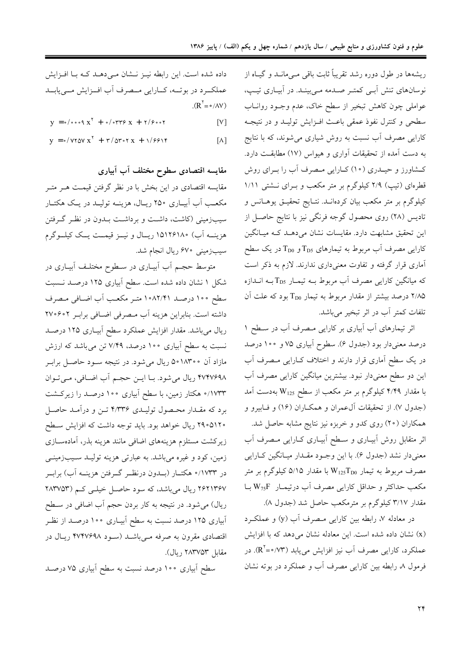ریشهها در طول دوره رشد تقریباً ثابت باقی مــی،انــد و گیــاه از نوسانهای تنش آببی کمتر صدمه می بیند. در آبیاری تیپ، عواملي چون كاهش تبخير از سطح خاك، عدم وجـود روانــاب سطحي وكنترل نفوذ عمقى باعث افـزايش توليـد و در نتيجـه کارایی مصرف اَب نسبت به روش شیاری می شوند، که با نتایج به دست آمده از تحقیقات آواری و هیواس (۱۷) مطابقـت دارد. کشاورز و حیـدری (۱۰) کــارایی مـصرف آب را بــرای روش قطرهای (تیپ) ۲/۹ کیلوگرم بر متر مکعب و بـرای نـشتی ۱/۱۱ کیلوگرم بر متر مکعب بیان کردهانــد. نتــایج تحقیــق یوهــانس و تادیس (۲۸) روی محصول گوجه فرنگی نیز با نتایج حاصـل از این تحقیق مشابهت دارد. مقایسات نشان میدهـد کـه میـانگین کارایی مصرف آب مربوط به تیمارهای  $\rm T_{D5}$ و  $\rm T_{D0}$  در یک سطح آماری قرار گرفته و تفاوت معنیداری ندارند. لازم به ذکر است که میانگین کارایی مصرف آب مربوط بـه تیمـار T<sub>D5</sub> بـه انـدازه ۲/۸۵ درصد بیشتر از مقدار مربوط به تیمار T<sub>D0</sub> بود که علت آن تلفات كمتر أب در اثر تبخير مي باشد.

اثر تیمارهای آب آبیاری بر کارایی مصرف آب در سطح ۱ درصد معنیدار بود (جدول ۶). سطوح آبیاری ۷۵ و ۱۰۰ درصد در یک سطح آماری قرار دارند و اختلاف کـارایی مـصرف آب این دو سطح معنیدار نبود. بیشترین میانگین کارایی مصرف آب با مقدار ۴/۴۹ کیلوگرم بر متر مکعب از سطح W<sub>125</sub> بهدست آمد (جدول ۷). از تحقیقات آلءمران و همکـاران (۱۶) و فـابیرو و همکاران (۲۰) روی کدو و خربزه نیز نتایج مشابه حاصل شد. اثر متقابل روش أبيـاري و سـطح أبيـاري كـارايي مـصرف أب معنیدار نشد (جدول ۶). با این وجـود مقـدار میـانگین کـارایی مصرف مربوط به تیمار W125TD0 با مقدار ۵/۱۵ کیلوگرم بر متر مکعب حداکثر و حداقل کارایی مصرف آب درتیمـار W75F بــا مقدار ۳/۱۷ کیلوگرم بر مترمکعب حاصل شد (جدول ۸).

در معادله ۷، رابطه بین کارایی مصرف آب (y) و عملکرد (x) نشان داده شده است. این معادله نشان می دهد که با افزایش عملکرد، کارایی مصرف اَب نیز افزایش می یابد (R) (R). در فرمول ٨ رابطه بين كارايي مصرف أب و عملكرد در بوته نشان

داده شده است. این رابطه نیـز نـشان مـیدهـد کـه بـا افـزایش عملكرد در بوتــه، كــارايي مــصرف أب افــزايش مــي يابــد  $(R^{\dagger} = \circ / AV)$ 

 $y = 0$  /  $0.009$   $X^7 + 0$  /  $0.099$   $X + 1$  /  $9.00$  $[V]$ 

 $y = \frac{1}{2} \sqrt{Y} \sqrt{X} X + \frac{1}{2} \sqrt{Y} X + \frac{1}{2} \sqrt{Y} Y$  $\lceil \Lambda \rceil$ 

مقایسه اقتصادی سطوح مختلف آب آبیاری مقایسه اقتصادی در این بخش با در نظر گرفتن قیمـت هـر متـر مکعب آب آبیاری ۲۵۰ ریال، هزینـه تولیـد در یـک هکتـار سیبزمینی (کاشت، داشت و برداشت بــدون در نظـر گــرفتن هزينــه اَبِ) ١۵١٢۶١٨٠ ريــال و نيــز قيمــت يــك كيلــوگرم سیبزمینی ۶۷۰ ریال انجام شد.

متوسط حجـم أب أبيـاري در ســطوح مختلـف أبيــاري در شکل ۱ نشان داده شده است. سطح آبیاری ۱۲۵ درصـد نـسبت سطح ١٥٥ درصد ١٠٨٢/٤١ متر مكعب أب اضافي مصرف داشته است. بنابراین هزینه آب مصرفی اضافی برابر ۲۷۰۶۰۲ ریال میباشد. مقدار افزایش عملکرد سطح آبیـاری ۱۲۵ درصـد نسبت به سطح آبیاری ۱۰۰ درصد، ۷/۴۹ تن میباشد که ارزش مازاد آن ۵۰۱۸۳۰۰ ریال میشود. در نتیجه سـود حاصـل برابـر ۴۷۴۷۶۹۸ ریال می شود. بـا ایــن حجـم آب اضـافی، مـی تـوان ۱۷۳۳/۰ هکتار زمین، با سطح آبیاری ۱۰۰ درصـد را زیرکـشت برد که مقـدار محـصول تولیـدی ۴/۳۳۶ تـن و درآمـد حاصـل ۲۹۰۵۱۲۰ ریال خواهد بود. باید توجه داشت که افزایش سطح زيركشت مستلزم هزينههاى اضافى مانند هزينه بذر، أمادهسـازى زمین، کود و غیره میباشد. به عبارتی هزینه تولیـد سـیبزمینـی در ۱۷۳۳/۰ هکتــار (بــدون درنظــر گــرفتن هزينــه آب) برابــر ۲۶۲۱۳۶۷ ریال میباشد، که سود حاصل خیلـی کـم (۲۸۳۷۵۳ ریال) می شود. در نتیجه به کار بردن حجم اَب اضافی در سـطح آبیاری ۱۲۵ درصد نسبت به سطح آبیـاری ۱۰۰ درصـد از نظـر اقتصادی مقرون به صرفه مـیباشــد (سـود ۴۷۴۷۶۹۸ ریـال در مقابل ۲۸۳۷۵۳ ريال).

سطح آبیاری ۱۰۰ درصد نسبت به سطح آبیاری ۷۵ درصـد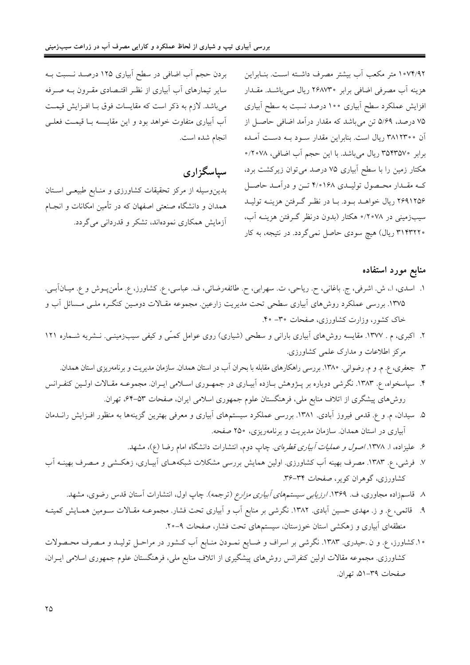بردن حجم آب اضافی در سطح آبیاری ۱۲۵ درصـد نـسبت بـه سایر تیمارهای آب آبیاری از نظـر اقتـصادی مقـرون بـه صـرفه مي باشد. لازم به ذكر است كه مقايسات فوق بـا افـزايش قيمـت آب آبیاری متفاوت خواهد بود و این مقایسه بـا قیمـت فعلـی انجام شده است.

سياسگزاري

بدین وسیله از مرکز تحقیقات کشاورزی و منـابع طبیعـی اسـتان همدان و دانشگاه صنعتی اصفهان که در تأمین امکانات و انجـام آزمایش همکاری نمودهاند، تشکر و قدردان<sub>ی</sub> میگردد.

۱۰۷۴/۹۲ متر مکعب آب بیشتر مصرف داشته است. بنـابراین هزینه آب مصرفی اضافی برابر ۲۶۸۷۳۰ ریال مـیباشـد. مقــدار افزایش عملکرد سطح آبیاری ۱۰۰ درصد نسبت به سطح آبیاری ۷۵ درصد، ۵/۶۹ تن میباشد که مقدار درآمد اضافی حاصل از آن ۳۸۱۲۳۰۰ ریال است. بنابراین مقدار سـود بـه دسـت آمـده برابر ۳۵۴۳۵۷۰ ریال میباشد. با این حجم آب اضافی، ۲۰۷۸. هکتار زمین را با سطح آبیاری ۷۵ درصد می توان زیرکشت برد، کـه مقـدار محـصول توليـدي ١۶۸°۴/۰ تـن و درآمـد حاصـل ۲۶۹۱۲۵۶ ریال خواهـد بـود. بـا در نظـر گـرفتن هزينـه توليـد سیبزمینی در ۲۰۷۸/۰ هکتار (بدون درنظر گـرفتن هزینـه آب، ۳۱۴۳۲۲۰ ریال) هیچ سودی حاصل نمیگردد. در نتیجه، به کار

#### منابع مورد استفاده

- ١. اسدي، ا.، ش. اشرفي، ج. باغاني، ح. رياحي، ت. سهرابي، ح. طائفهرضائي، ف. عباسي، ع. كشاورز، ع. مأمنﭘـوش و ع. ميــانآبــي. ۱۳۷۵. بررسی عملکرد روش۵ای آبیاری سطحی تحت مدیریت زارعین. مجموعه مقـالات دومـین کنگـره ملـی مـسائل آب و خاک کشور، وزارت کشاورزی، صفحات ۳۰- ۴۰.
- ۲. اکبری، م . ۱۳۷۷. مقایسه روش۵ای آبیاری بارانی و سطحی (شیاری) روی عوامل کمـّی و کیفی سیبزمینــی. نــشریه شــماره ۱۲۱ مرکز اطلاعات و مدارک علمی کشاورزی.
	- ۳. جعفری، ع. م. و م. رضوانی. ۱۳۸۰. بررسی راهکارهای مقابله با بحران آب در استان همدان. سازمان مدیریت و برنامهریزی استان همدان.
- ۴. سپاسخواه، ع. ۱۳۸۳. نگرشی دوباره بر پــژوهش بــازده آبیــاری در جمهــوری اســلامی ایــران. مجموعــه مقــالات اولــین کنفــرانس روشهای پیشگری از اتلاف منابع ملی، فرهنگستان علوم جمهوری اسلامی ایران، صفحات ۵۳–۶۴، تهران.
- ۵. سیدان، م. و ع. قدمی فیروز آبادی. ۱۳۸۱. بررسی عملکرد سیستمهای آبیاری و معرفی بهترین گزینهها به منظور افـزایش رانــدمان آبیاری در استان همدان. سازمان مدیریت و برنامهریزی، ۲۵۰ صفحه.
	- ۶. علیزاده، ا. ۱۳۷۸ *اصول و عملیات آبیاری قطرهای*. چاپ دوم، انتشارات دانشگاه امام رضا (ع)، مشهد.
- ۷. فرشی، ع. ۱۳۸۳. مصرف بهینه اَب کشاورزی. اولین همایش بررسی مشکلات شبکههـای اَبیـاری، زهکـشی و مـصرف بهینــه اَب کشاورزی، گوهران کویر، صفحات ۳۴–۳۶.
	- ۸. قاسمزاده مجاوری، ف. ۱۳۶۹. *ارزیابی سیستمهای آبیاری مزارع* (ترجمه). چاپ اول، انتشارات آستان قدس رضوی، مشهد.
- ۹. قائمی، ع. و ز. مهدی حسین آبادی. ۱۳۸۲. نگرشی بر منابع آب و آبیاری تحت فشار. مجموعـه مقـالات ســومین همـایش کمیتـه منطقهای آبیاری و زهکشی استان خوزستان، سیستمهای تحت فشار، صفحات ۹-۲۰.
- ۱۰.کشاورز، ع. و ن .حیدری. ۱۳۸۳. نگرشی بر اسراف و ضـایع نمـودن منـابع آب کـشور در مراحـل تولیـد و مـصرف محـصولات کشاورزی. مجموعه مقالات اولین کنفرانس روش،ای پیشگیری از اتلاف منابع ملی، فرهنگستان علوم جمهوری اسلامی ایــران، صفحات ٣٩-۵١، تهران.